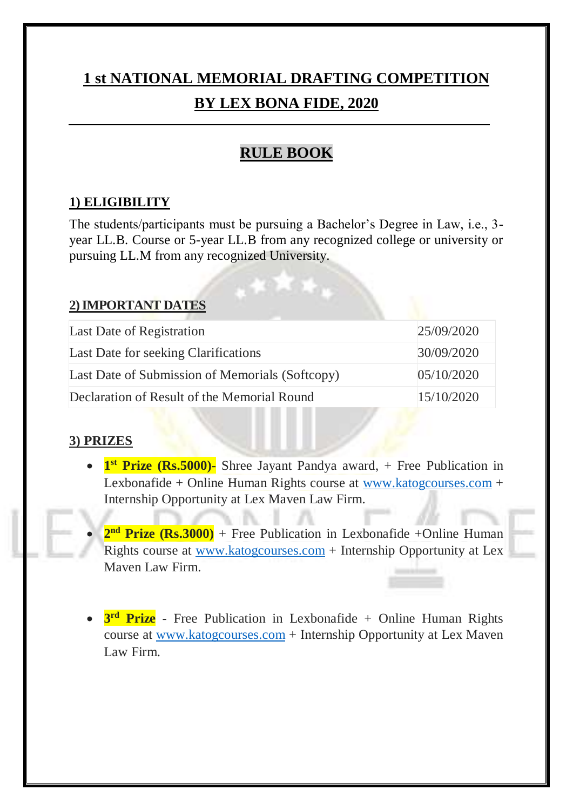# **1 st NATIONAL MEMORIAL DRAFTING COMPETITION BY LEX BONA FIDE, 2020**

# **RULE BOOK**

#### **1) ELIGIBILITY**

The students/participants must be pursuing a Bachelor's Degree in Law, i.e., 3 year LL.B. Course or 5-year LL.B from any recognized college or university or pursuing LL.M from any recognized University.

#### **2) IMPORTANT DATES**

| Last Date of Registration                       | 25/09/2020 |
|-------------------------------------------------|------------|
| Last Date for seeking Clarifications            | 30/09/2020 |
| Last Date of Submission of Memorials (Softcopy) | 05/10/2020 |
| Declaration of Result of the Memorial Round     | 15/10/2020 |

#### **3) PRIZES**

- **1**<sup>st</sup> Prize (Rs.5000)- Shree Jayant Pandya award, + Free Publication in Lexbonafide + Online Human Rights course at [www.katogcourses.com](http://www.katogcourses.com/) + Internship Opportunity at Lex Maven Law Firm.
- 2<sup>nd</sup> Prize (Rs.3000) + Free Publication in Lexbonafide +Online Human Rights course at [www.katogcourses.com](http://www.katogcourses.com/) + Internship Opportunity at Lex Maven Law Firm.
- **3<sup>rd</sup> Prize** Free Publication in Lexbonafide + Online Human Rights course at [www.katogcourses.com](http://www.katogcourses.com/) + Internship Opportunity at Lex Maven Law Firm.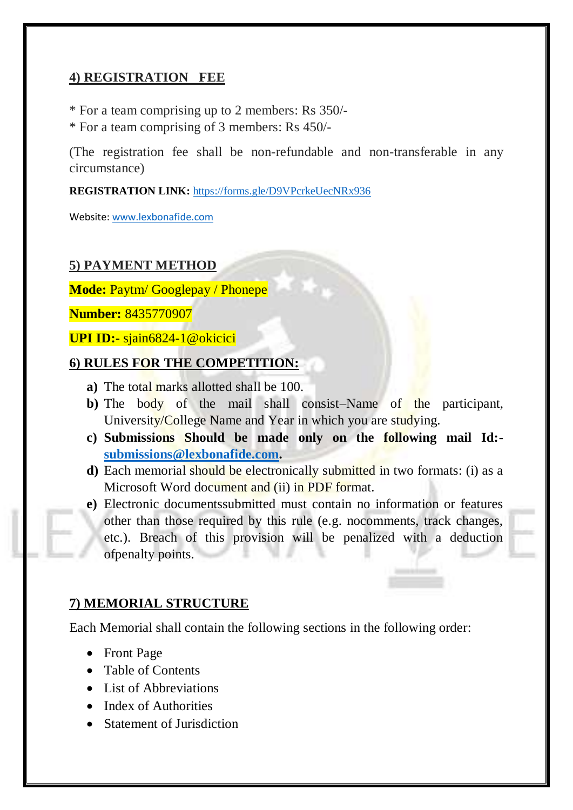#### **4) REGISTRATION FEE**

- \* For a team comprising up to 2 members: Rs 350/-
- \* For a team comprising of 3 members: Rs 450/-

(The registration fee shall be non-refundable and non-transferable in any circumstance)

**REGISTRATION LINK:** <https://forms.gle/D9VPcrkeUecNRx936>

Website: [www.lexbonafide.com](http://www.lexbonafide.com/)

#### **5) PAYMENT METHOD**

**Mode:** Paytm/ Googlepay / Phonepe

**Number:** 8435770907

**UPI ID:-** sjain6824-1@okicici

#### **6) RULES FOR THE COMPETITION:**

- **a)** The total marks allotted shall be 100.
- **b)** The body of the mail shall consist–Name of the participant, University/College Name and Year in which you are studying.
- **c) Submissions Should be made only on the following mail Id: [submissions@lexbonafide.com.](mailto:submissions@lexbonafide.com)**
- **d)** Each memorial should be electronically submitted in two formats: (i) as a Microsoft Word document and (ii) in PDF format.
- **e)** Electronic documentssubmitted must contain no information or features other than those required by this rule (e.g. nocomments, track changes, etc.). Breach of this provision will be penalized with a deduction ofpenalty points.

#### **7) MEMORIAL STRUCTURE**

Each Memorial shall contain the following sections in the following order:

- Front Page
- Table of Contents
- List of Abbreviations
- Index of Authorities
- Statement of Jurisdiction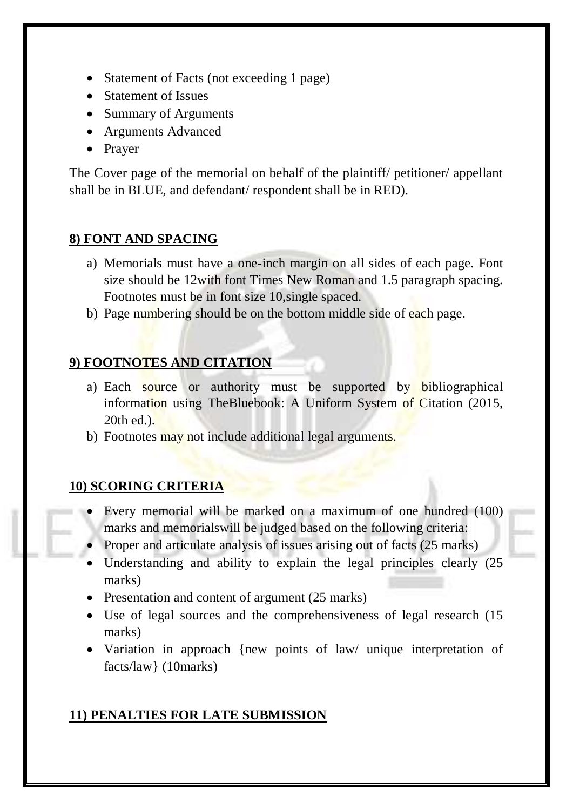- Statement of Facts (not exceeding 1 page)
- Statement of Issues
- Summary of Arguments
- Arguments Advanced
- Prayer

The Cover page of the memorial on behalf of the plaintiff/ petitioner/ appellant shall be in BLUE, and defendant/ respondent shall be in RED).

## **8) FONT AND SPACING**

- a) Memorials must have a one-inch margin on all sides of each page. Font size should be 12with font Times New Roman and 1.5 paragraph spacing. Footnotes must be in font size 10,single spaced.
- b) Page numbering should be on the bottom middle side of each page.

## **9) FOOTNOTES AND CITATION**

- a) Each source or authority must be supported by bibliographical information using TheBluebook: A Uniform System of Citation (2015, 20th ed.).
- b) Footnotes may not include additional legal arguments.

#### **10) SCORING CRITERIA**

- Every memorial will be marked on a maximum of one hundred (100) marks and memorialswill be judged based on the following criteria:
- Proper and articulate analysis of issues arising out of facts (25 marks)
- Understanding and ability to explain the legal principles clearly (25) marks)
- Presentation and content of argument (25 marks)
- Use of legal sources and the comprehensiveness of legal research (15 marks)
- Variation in approach {new points of law/ unique interpretation of facts/law} (10marks)

# **11) PENALTIES FOR LATE SUBMISSION**